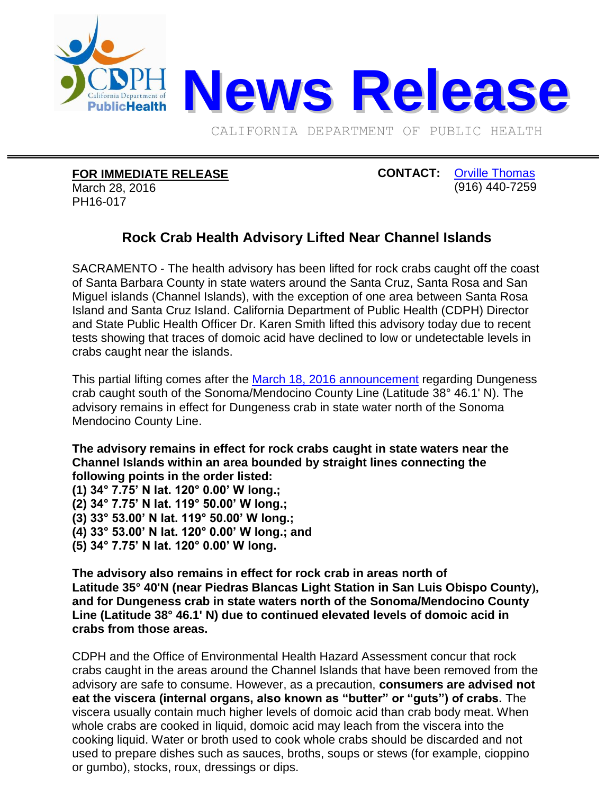

CALIFORNIA DEPARTMENT OF PUBLIC HEALTH

**FOR IMMEDIATE RELEASE**

March 28, 2016 PH16-017

**CONTACT:** [Orville Thomas](mailto:Orville.Thomas@cdph.ca.gov?subject=CDPH%20news%20release) (916) 440-7259

## **Rock Crab Health Advisory Lifted Near Channel Islands**

SACRAMENTO - The health advisory has been lifted for rock crabs caught off the coast of Santa Barbara County in state waters around the Santa Cruz, Santa Rosa and San Miguel islands (Channel Islands), with the exception of one area between Santa Rosa Island and Santa Cruz Island. California Department of Public Health (CDPH) Director and State Public Health Officer Dr. Karen Smith lifted this advisory today due to recent tests showing that traces of domoic acid have declined to low or undetectable levels in crabs caught near the islands.

This partial lifting comes after the [March 18, 2016](http://www.cdph.ca.gov/Pages/NR16-014.aspx) announcement regarding Dungeness crab caught south of the Sonoma/Mendocino County Line (Latitude 38° 46.1' N). The advisory remains in effect for Dungeness crab in state water north of the Sonoma Mendocino County Line.

**The advisory remains in effect for rock crabs caught in state waters near the Channel Islands within an area bounded by straight lines connecting the following points in the order listed:**

- **(1) 34° 7.75' N lat. 120° 0.00' W long.;**
- **(2) 34° 7.75' N lat. 119° 50.00' W long.;**
- **(3) 33° 53.00' N lat. 119° 50.00' W long.;**
- **(4) 33° 53.00' N lat. 120° 0.00' W long.; and**
- **(5) 34° 7.75' N lat. 120° 0.00' W long.**

**The advisory also remains in effect for rock crab in areas north of Latitude 35° 40'N (near Piedras Blancas Light Station in San Luis Obispo County), and for Dungeness crab in state waters north of the Sonoma/Mendocino County Line (Latitude 38° 46.1' N) due to continued elevated levels of domoic acid in crabs from those areas.**

CDPH and the Office of Environmental Health Hazard Assessment concur that rock crabs caught in the areas around the Channel Islands that have been removed from the advisory are safe to consume. However, as a precaution, **consumers are advised not eat the viscera (internal organs, also known as "butter" or "guts") of crabs.** The viscera usually contain much higher levels of domoic acid than crab body meat. When whole crabs are cooked in liquid, domoic acid may leach from the viscera into the cooking liquid. Water or broth used to cook whole crabs should be discarded and not used to prepare dishes such as sauces, broths, soups or stews (for example, cioppino or gumbo), stocks, roux, dressings or dips.